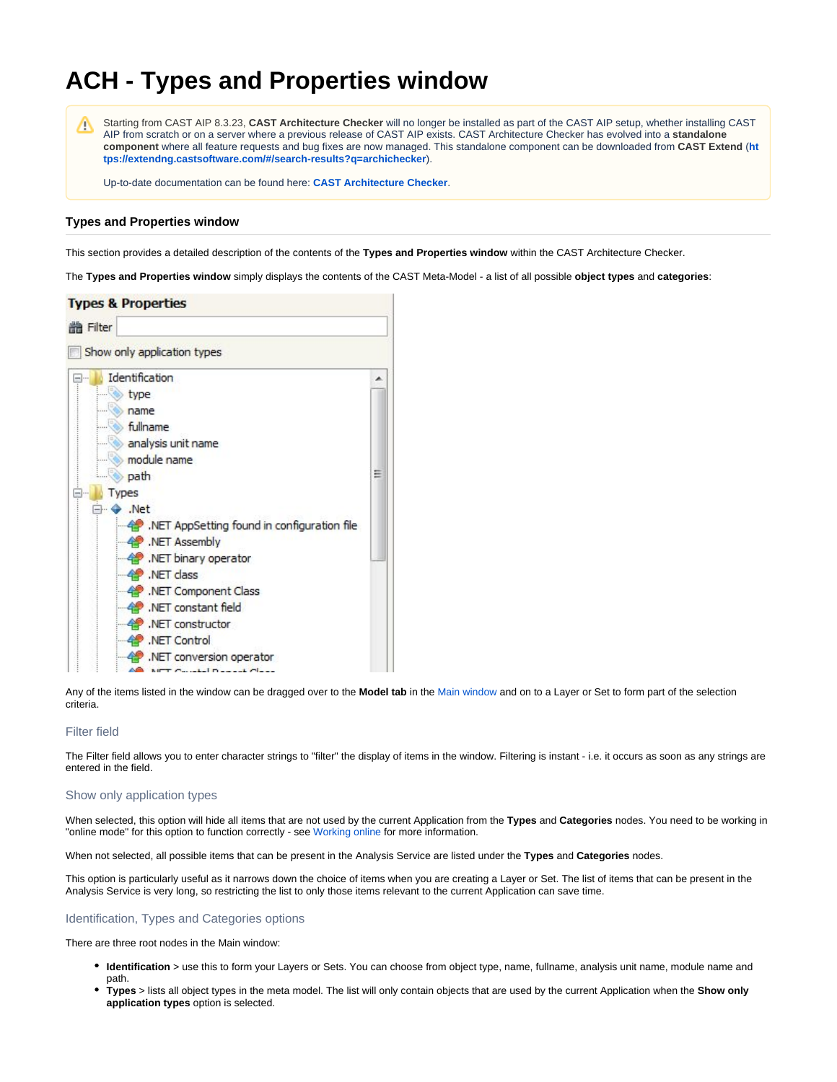# **ACH - Types and Properties window**

Λ

Starting from CAST AIP 8.3.23, **CAST Architecture Checker** will no longer be installed as part of the CAST AIP setup, whether installing CAST AIP from scratch or on a server where a previous release of CAST AIP exists. CAST Architecture Checker has evolved into a **standalone component** where all feature requests and bug fixes are now managed. This standalone component can be downloaded from **CAST Extend** (**[ht](https://extendng.castsoftware.com/#/search-results?q=archichecker) [tps://extendng.castsoftware.com/#/search-results?q=archichecker](https://extendng.castsoftware.com/#/search-results?q=archichecker)**).

Up-to-date documentation can be found here: **[CAST Architecture Checker](https://doc.castsoftware.com/display/DOCCOM/CAST+Architecture+Checker)**.

### **Types and Properties window**

This section provides a detailed description of the contents of the **Types and Properties window** within the CAST Architecture Checker.

The **Types and Properties window** simply displays the contents of the CAST Meta-Model - a list of all possible **object types** and **categories**:



Any of the items listed in the window can be dragged over to the **Model tab** in the [Main window](https://doc.castsoftware.com/display/AIPCORE/ACH+-+Main+window) and on to a Layer or Set to form part of the selection criteria.

#### Filter field

The Filter field allows you to enter character strings to "filter" the display of items in the window. Filtering is instant - i.e. it occurs as soon as any strings are entered in the field.

#### Show only application types

When selected, this option will hide all items that are not used by the current Application from the **Types** and **Categories** nodes. You need to be working in "online mode" for this option to function correctly - see [Working online](https://doc.castsoftware.com/display/AIPCORE/ACH+-+Working+online) for more information.

When not selected, all possible items that can be present in the Analysis Service are listed under the **Types** and **Categories** nodes.

This option is particularly useful as it narrows down the choice of items when you are creating a Layer or Set. The list of items that can be present in the Analysis Service is very long, so restricting the list to only those items relevant to the current Application can save time.

#### Identification, Types and Categories options

There are three root nodes in the Main window:

- **Identification** > use this to form your Layers or Sets. You can choose from object type, name, fullname, analysis unit name, module name and path.
- **Types** > lists all object types in the meta model. The list will only contain objects that are used by the current Application when the **Show only application types** option is selected.